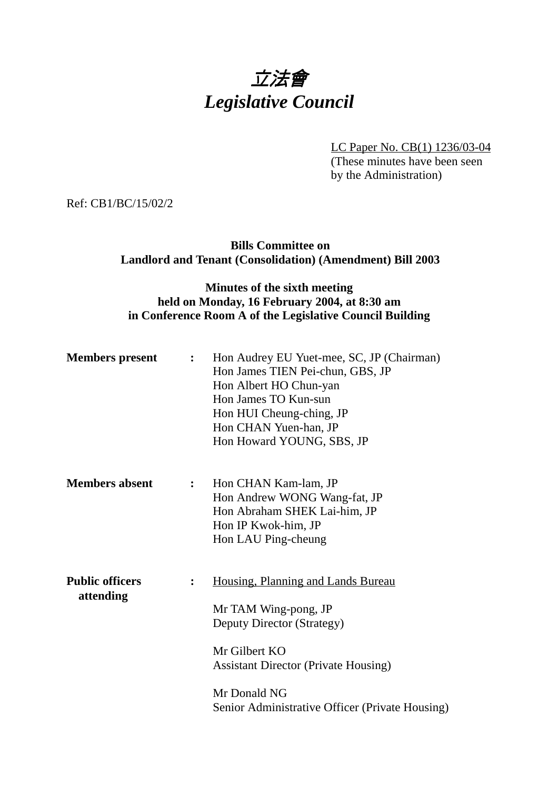# 立法會 *Legislative Council*

LC Paper No. CB(1) 1236/03-04 (These minutes have been seen by the Administration)

Ref: CB1/BC/15/02/2

### **Bills Committee on Landlord and Tenant (Consolidation) (Amendment) Bill 2003**

### **Minutes of the sixth meeting held on Monday, 16 February 2004, at 8:30 am in Conference Room A of the Legislative Council Building**

| <b>Members</b> present              | $\ddot{\bullet}$ | Hon Audrey EU Yuet-mee, SC, JP (Chairman)<br>Hon James TIEN Pei-chun, GBS, JP<br>Hon Albert HO Chun-yan<br>Hon James TO Kun-sun<br>Hon HUI Cheung-ching, JP<br>Hon CHAN Yuen-han, JP<br>Hon Howard YOUNG, SBS, JP           |
|-------------------------------------|------------------|-----------------------------------------------------------------------------------------------------------------------------------------------------------------------------------------------------------------------------|
| <b>Members absent</b>               | $\mathbf{L}$     | Hon CHAN Kam-lam, JP<br>Hon Andrew WONG Wang-fat, JP<br>Hon Abraham SHEK Lai-him, JP<br>Hon IP Kwok-him, JP<br>Hon LAU Ping-cheung                                                                                          |
| <b>Public officers</b><br>attending | $\ddot{\bullet}$ | Housing, Planning and Lands Bureau<br>Mr TAM Wing-pong, JP<br>Deputy Director (Strategy)<br>Mr Gilbert KO<br><b>Assistant Director (Private Housing)</b><br>Mr Donald NG<br>Senior Administrative Officer (Private Housing) |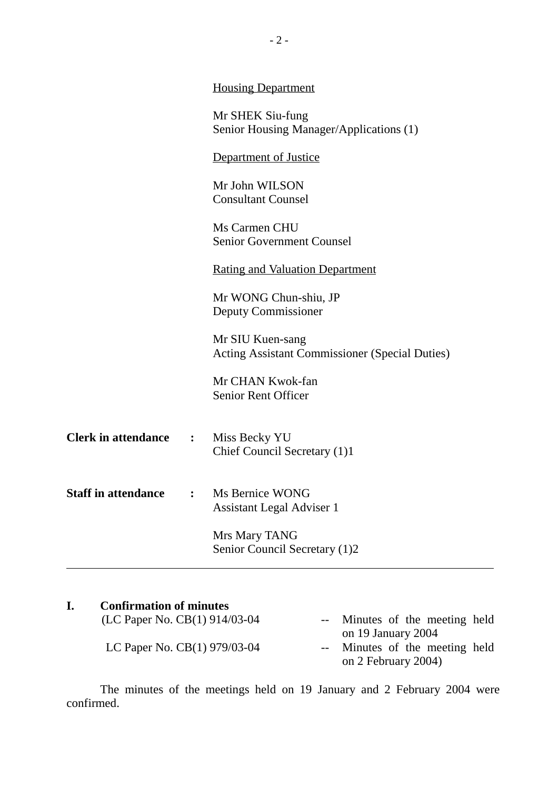|                            |                | <b>Housing Department</b>                                                 |
|----------------------------|----------------|---------------------------------------------------------------------------|
|                            |                | Mr SHEK Siu-fung<br>Senior Housing Manager/Applications (1)               |
|                            |                | <b>Department of Justice</b>                                              |
|                            |                | Mr John WILSON<br><b>Consultant Counsel</b>                               |
|                            |                | Ms Carmen CHU<br><b>Senior Government Counsel</b>                         |
|                            |                | <b>Rating and Valuation Department</b>                                    |
|                            |                | Mr WONG Chun-shiu, JP<br><b>Deputy Commissioner</b>                       |
|                            |                | Mr SIU Kuen-sang<br><b>Acting Assistant Commissioner (Special Duties)</b> |
|                            |                | Mr CHAN Kwok-fan<br><b>Senior Rent Officer</b>                            |
| <b>Clerk in attendance</b> | $\mathbf{L}$   | Miss Becky YU<br>Chief Council Secretary (1)1                             |
| <b>Staff in attendance</b> | $\ddot{\cdot}$ | Ms Bernice WONG<br><b>Assistant Legal Adviser 1</b>                       |
|                            |                | Mrs Mary TANG<br>Senior Council Secretary (1)2                            |

## **I. Confirmation of minutes**

| (LC Paper No. CB(1) 914/03-04 | -- Minutes of the meeting held<br>on 19 January 2004  |
|-------------------------------|-------------------------------------------------------|
| LC Paper No. CB(1) 979/03-04  | -- Minutes of the meeting held<br>on 2 February 2004) |

The minutes of the meetings held on 19 January and 2 February 2004 were confirmed.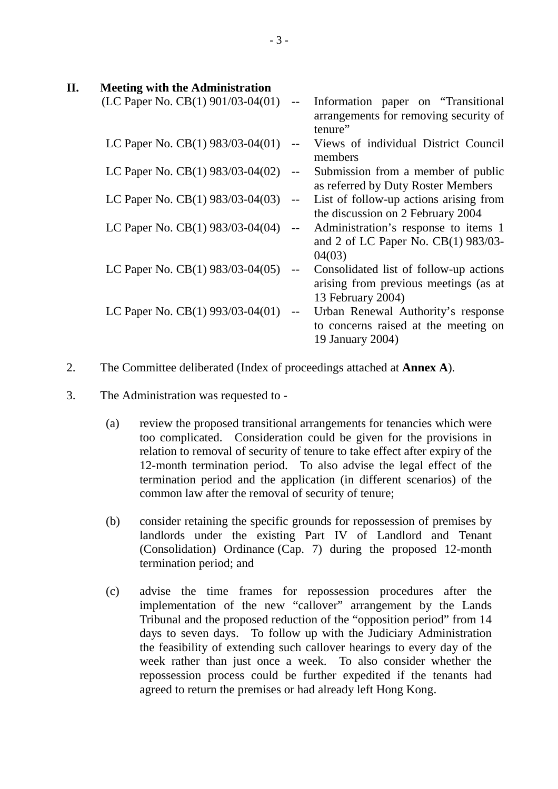| Π. | <b>Meeting with the Administration</b>    |                                               |                                                                                                      |
|----|-------------------------------------------|-----------------------------------------------|------------------------------------------------------------------------------------------------------|
|    | (LC Paper No. CB $(1)$ 901/03-04 $(01)$ ) | $\overline{\phantom{a}}$                      | Information paper on "Transitional"<br>arrangements for removing security of<br>tenure"              |
|    | LC Paper No. CB(1) 983/03-04(01)          | $\overline{\phantom{m}}$                      | Views of individual District Council<br>members                                                      |
|    | LC Paper No. CB(1) 983/03-04(02)          | $-$                                           | Submission from a member of public<br>as referred by Duty Roster Members                             |
|    | LC Paper No. CB(1) 983/03-04(03)          | $- -$                                         | List of follow-up actions arising from<br>the discussion on 2 February 2004                          |
|    | LC Paper No. CB(1) 983/03-04(04)          | $\mathord{\hspace{1pt}\text{--}\hspace{1pt}}$ | Administration's response to items 1<br>and 2 of LC Paper No. CB(1) 983/03-<br>04(03)                |
|    | LC Paper No. CB(1) 983/03-04(05)          | $\mathord{\hspace{1pt}\text{--}\hspace{1pt}}$ | Consolidated list of follow-up actions<br>arising from previous meetings (as at<br>13 February 2004) |
|    | LC Paper No. CB(1) 993/03-04(01)          | $\mathord{\hspace{1pt}\text{--}\hspace{1pt}}$ | Urban Renewal Authority's response<br>to concerns raised at the meeting on<br>19 January 2004)       |

- 2. The Committee deliberated (Index of proceedings attached at **Annex A**).
- 3. The Administration was requested to
	- (a) review the proposed transitional arrangements for tenancies which were too complicated. Consideration could be given for the provisions in relation to removal of security of tenure to take effect after expiry of the 12-month termination period. To also advise the legal effect of the termination period and the application (in different scenarios) of the common law after the removal of security of tenure;
	- (b) consider retaining the specific grounds for repossession of premises by landlords under the existing Part IV of Landlord and Tenant (Consolidation) Ordinance (Cap. 7) during the proposed 12-month termination period; and
	- (c) advise the time frames for repossession procedures after the implementation of the new "callover" arrangement by the Lands Tribunal and the proposed reduction of the "opposition period" from 14 days to seven days. To follow up with the Judiciary Administration the feasibility of extending such callover hearings to every day of the week rather than just once a week. To also consider whether the repossession process could be further expedited if the tenants had agreed to return the premises or had already left Hong Kong.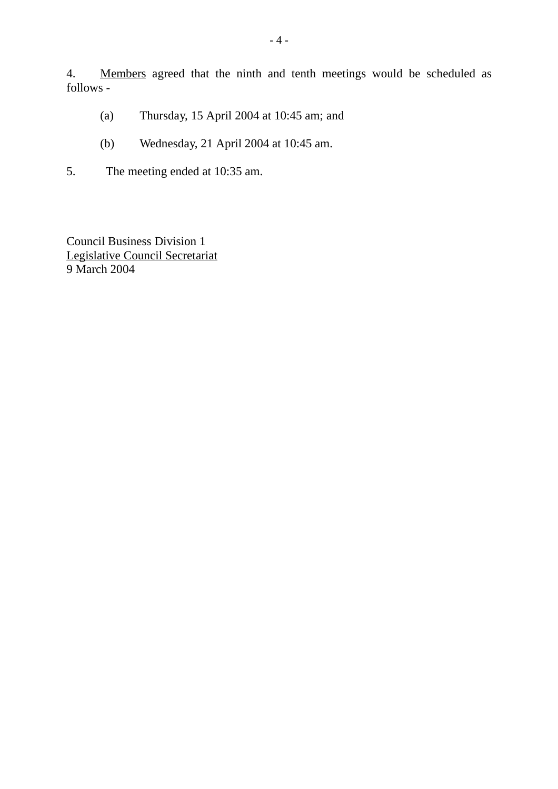4. Members agreed that the ninth and tenth meetings would be scheduled as follows -

- (a) Thursday, 15 April 2004 at 10:45 am; and
- (b) Wednesday, 21 April 2004 at 10:45 am.
- 5. The meeting ended at 10:35 am.

Council Business Division 1 Legislative Council Secretariat 9 March 2004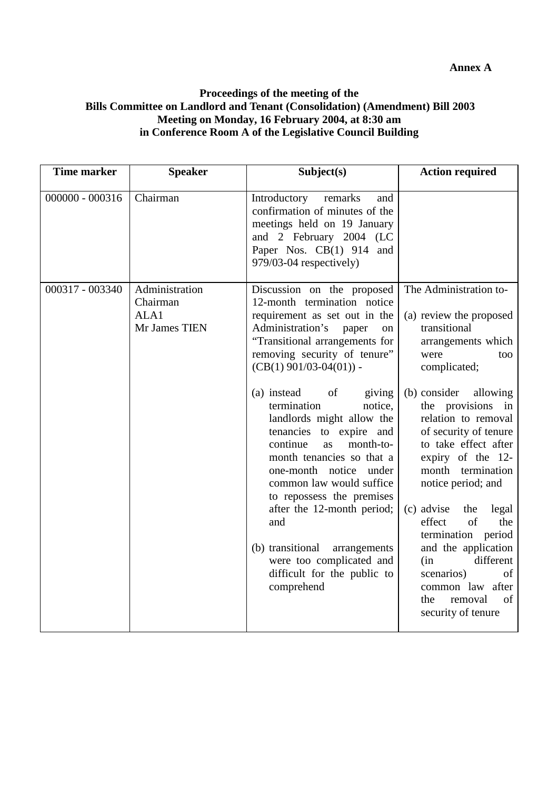#### **Proceedings of the meeting of the Bills Committee on Landlord and Tenant (Consolidation) (Amendment) Bill 2003 Meeting on Monday, 16 February 2004, at 8:30 am in Conference Room A of the Legislative Council Building**

| <b>Time marker</b> | <b>Speaker</b>                                      | Subject(s)                                                                                                                                                                                                                                                                                                                                                                                                                                                                                                                                                                                                                                        | <b>Action required</b>                                                                                                                                                                                                                                                                                                                                                                                                                                                                                                      |
|--------------------|-----------------------------------------------------|---------------------------------------------------------------------------------------------------------------------------------------------------------------------------------------------------------------------------------------------------------------------------------------------------------------------------------------------------------------------------------------------------------------------------------------------------------------------------------------------------------------------------------------------------------------------------------------------------------------------------------------------------|-----------------------------------------------------------------------------------------------------------------------------------------------------------------------------------------------------------------------------------------------------------------------------------------------------------------------------------------------------------------------------------------------------------------------------------------------------------------------------------------------------------------------------|
| $000000 - 000316$  | Chairman                                            | Introductory<br>remarks<br>and<br>confirmation of minutes of the<br>meetings held on 19 January<br>and 2 February 2004 (LC<br>Paper Nos. CB(1) 914 and<br>979/03-04 respectively)                                                                                                                                                                                                                                                                                                                                                                                                                                                                 |                                                                                                                                                                                                                                                                                                                                                                                                                                                                                                                             |
| 000317 - 003340    | Administration<br>Chairman<br>ALA1<br>Mr James TIEN | Discussion on the proposed<br>12-month termination notice<br>requirement as set out in the<br>Administration's<br>paper<br>on<br>"Transitional arrangements for<br>removing security of tenure"<br>$(CB(1) 901/03-04(01))$ -<br>(a) instead<br>of<br>giving<br>termination<br>notice,<br>landlords might allow the<br>tenancies to expire and<br>month-to-<br>continue<br>as<br>month tenancies so that a<br>one-month notice<br>under<br>common law would suffice<br>to repossess the premises<br>after the 12-month period;<br>and<br>(b) transitional<br>arrangements<br>were too complicated and<br>difficult for the public to<br>comprehend | The Administration to-<br>(a) review the proposed<br>transitional<br>arrangements which<br>were<br>too<br>complicated;<br>(b) consider<br>allowing<br>the provisions in<br>relation to removal<br>of security of tenure<br>to take effect after<br>expiry of the 12-<br>month termination<br>notice period; and<br>(c) advise<br>the<br>legal<br>effect<br>of<br>the<br>termination period<br>and the application<br>different<br>(in<br>scenarios)<br>of<br>common law after<br>of<br>the<br>removal<br>security of tenure |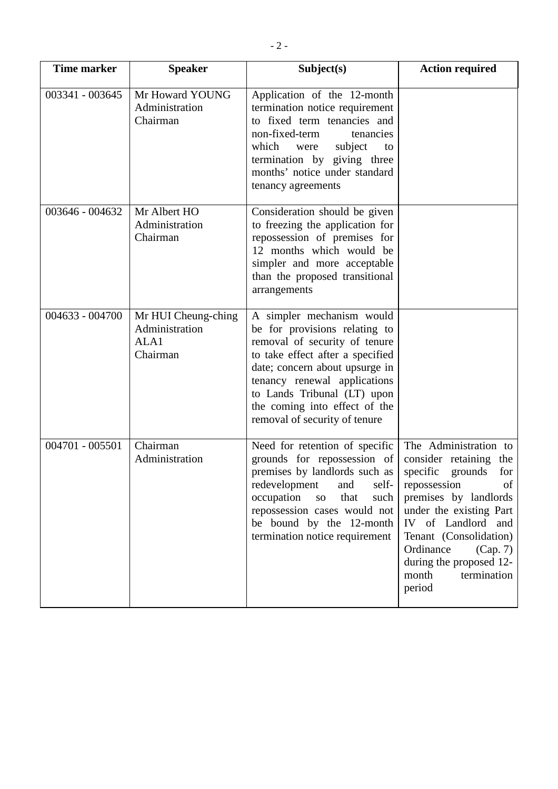| <b>Time marker</b> | <b>Speaker</b>                                            | Subject(s)                                                                                                                                                                                                                                                                                         | <b>Action required</b>                                                                                                                                                                                                                                                                        |
|--------------------|-----------------------------------------------------------|----------------------------------------------------------------------------------------------------------------------------------------------------------------------------------------------------------------------------------------------------------------------------------------------------|-----------------------------------------------------------------------------------------------------------------------------------------------------------------------------------------------------------------------------------------------------------------------------------------------|
| 003341 - 003645    | Mr Howard YOUNG<br>Administration<br>Chairman             | Application of the 12-month<br>termination notice requirement<br>to fixed term tenancies and<br>non-fixed-term<br>tenancies<br>which<br>subject<br>were<br>to<br>termination by giving three<br>months' notice under standard<br>tenancy agreements                                                |                                                                                                                                                                                                                                                                                               |
| 003646 - 004632    | Mr Albert HO<br>Administration<br>Chairman                | Consideration should be given<br>to freezing the application for<br>repossession of premises for<br>12 months which would be<br>simpler and more acceptable<br>than the proposed transitional<br>arrangements                                                                                      |                                                                                                                                                                                                                                                                                               |
| 004633 - 004700    | Mr HUI Cheung-ching<br>Administration<br>ALA1<br>Chairman | A simpler mechanism would<br>be for provisions relating to<br>removal of security of tenure<br>to take effect after a specified<br>date; concern about upsurge in<br>tenancy renewal applications<br>to Lands Tribunal (LT) upon<br>the coming into effect of the<br>removal of security of tenure |                                                                                                                                                                                                                                                                                               |
| 004701 - 005501    | Chairman<br>Administration                                | Need for retention of specific<br>grounds for repossession of<br>premises by landlords such as<br>redevelopment<br>and<br>self-<br>occupation<br>that<br>such<br>${\bf SO}$<br>repossession cases would not<br>be bound by the 12-month<br>termination notice requirement                          | The Administration to<br>consider retaining the<br>specific<br>grounds<br>for<br>repossession<br>of<br>premises by landlords<br>under the existing Part<br>IV of Landlord and<br>Tenant (Consolidation)<br>Ordinance<br>(Cap. 7)<br>during the proposed 12-<br>month<br>termination<br>period |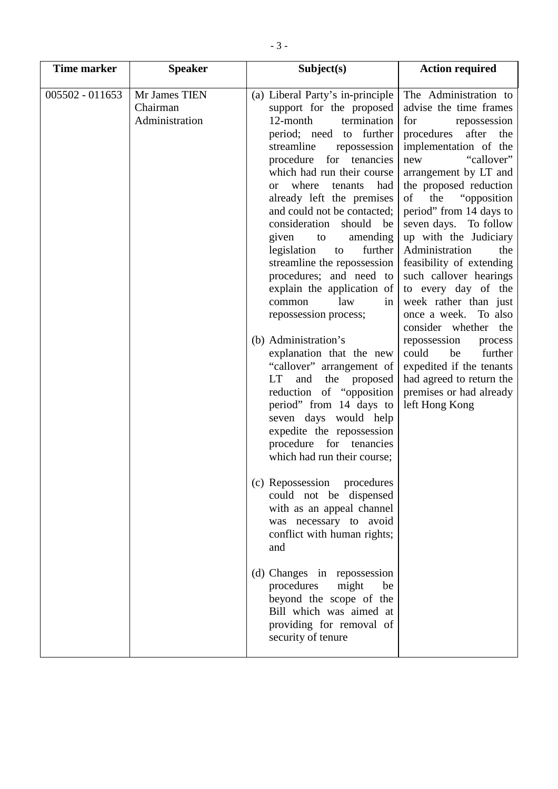| <b>Time marker</b> | <b>Speaker</b>                              | Subject(s)                                                                                                                                                                                                                                                                                                                                                                                                                                                                                                                                                                                                                                                                                                                                                                                                                                                                                                                                                                                                                                                                                                                                                        | <b>Action required</b>                                                                                                                                                                                                                                                                                                                                                                                                                                                                                                                                                                                                                                         |
|--------------------|---------------------------------------------|-------------------------------------------------------------------------------------------------------------------------------------------------------------------------------------------------------------------------------------------------------------------------------------------------------------------------------------------------------------------------------------------------------------------------------------------------------------------------------------------------------------------------------------------------------------------------------------------------------------------------------------------------------------------------------------------------------------------------------------------------------------------------------------------------------------------------------------------------------------------------------------------------------------------------------------------------------------------------------------------------------------------------------------------------------------------------------------------------------------------------------------------------------------------|----------------------------------------------------------------------------------------------------------------------------------------------------------------------------------------------------------------------------------------------------------------------------------------------------------------------------------------------------------------------------------------------------------------------------------------------------------------------------------------------------------------------------------------------------------------------------------------------------------------------------------------------------------------|
| 005502 - 011653    | Mr James TIEN<br>Chairman<br>Administration | (a) Liberal Party's in-principle<br>support for the proposed<br>12-month<br>termination<br>period; need to further<br>streamline<br>repossession<br>procedure for tenancies<br>which had run their course<br>where<br>tenants<br>had<br><sub>or</sub><br>already left the premises<br>and could not be contacted;<br>consideration<br>should be<br>given to<br>amending<br>further<br>legislation<br>to<br>streamline the repossession<br>procedures; and need to<br>explain the application of<br>law<br>common<br>in<br>repossession process;<br>(b) Administration's<br>explanation that the new<br>"callover" arrangement of<br>LT<br>and the proposed<br>reduction of "opposition<br>period" from 14 days to<br>seven days would help<br>expedite the repossession<br>procedure<br>for tenancies<br>which had run their course;<br>(c) Repossession<br>procedures<br>could not be dispensed<br>with as an appeal channel<br>was necessary to avoid<br>conflict with human rights;<br>and<br>(d) Changes in repossession<br>procedures<br>might<br>be<br>beyond the scope of the<br>Bill which was aimed at<br>providing for removal of<br>security of tenure | The Administration to<br>advise the time frames<br>for<br>repossession<br>after<br>procedures<br>the<br>implementation of the<br>"callover"<br>new<br>arrangement by LT and<br>the proposed reduction<br>of<br>the<br>"opposition"<br>period" from 14 days to<br>seven days. To follow<br>up with the Judiciary<br>Administration<br>the<br>feasibility of extending<br>such callover hearings<br>to every day of the<br>week rather than just<br>To also<br>once a week.<br>consider whether<br>the<br>repossession<br>process<br>further<br>could<br>be<br>expedited if the tenants<br>had agreed to return the<br>premises or had already<br>left Hong Kong |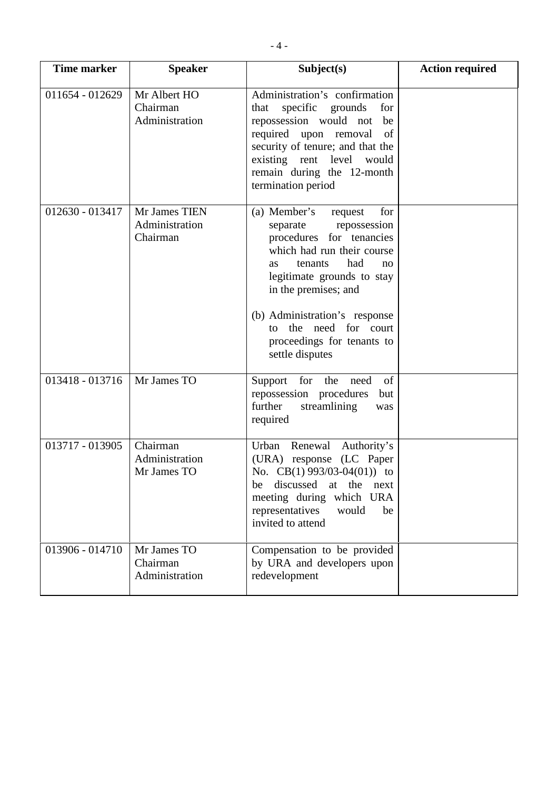| <b>Time marker</b> | <b>Speaker</b>                              | Subject(s)                                                                                                                                                                                                                                                                                                                    | <b>Action required</b> |
|--------------------|---------------------------------------------|-------------------------------------------------------------------------------------------------------------------------------------------------------------------------------------------------------------------------------------------------------------------------------------------------------------------------------|------------------------|
| 011654 - 012629    | Mr Albert HO<br>Chairman<br>Administration  | Administration's confirmation<br>specific grounds<br>that<br>for<br>repossession would not<br>be<br>required upon removal<br>of<br>security of tenure; and that the<br>existing rent level would<br>remain during the 12-month<br>termination period                                                                          |                        |
| 012630 - 013417    | Mr James TIEN<br>Administration<br>Chairman | (a) Member's<br>for<br>request<br>repossession<br>separate<br>procedures for tenancies<br>which had run their course<br>had<br>tenants<br><b>as</b><br>no<br>legitimate grounds to stay<br>in the premises; and<br>(b) Administration's response<br>the need for court<br>to<br>proceedings for tenants to<br>settle disputes |                        |
| 013418 - 013716    | Mr James TO                                 | Support<br>for the<br>of<br>need<br>repossession procedures<br>but<br>further<br>streamlining<br>was<br>required                                                                                                                                                                                                              |                        |
| 013717 - 013905    | Chairman<br>Administration<br>Mr James TO   | Urban<br>Renewal Authority's<br>(URA) response (LC Paper<br>No. $CB(1)$ 993/03-04(01)) to<br>discussed<br>at the<br>be<br>next<br>meeting during which URA<br>representatives<br>would<br>be<br>invited to attend                                                                                                             |                        |
| 013906 - 014710    | Mr James TO<br>Chairman<br>Administration   | Compensation to be provided<br>by URA and developers upon<br>redevelopment                                                                                                                                                                                                                                                    |                        |